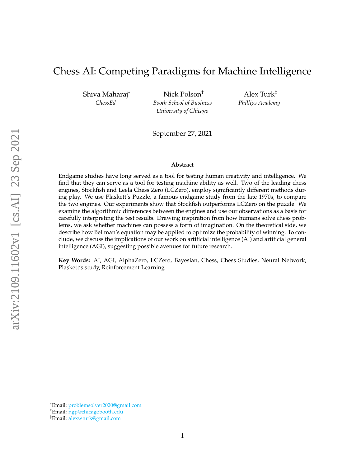# Chess AI: Competing Paradigms for Machine Intelligence

Shiva Maharaj\* *ChessEd*

Nick Polson† *Booth School of Business University of Chicago*

Alex Turk‡ *Phillips Academy*

September 27, 2021

#### **Abstract**

Endgame studies have long served as a tool for testing human creativity and intelligence. We find that they can serve as a tool for testing machine ability as well. Two of the leading chess engines, Stockfish and Leela Chess Zero (LCZero), employ significantly different methods during play. We use Plaskett's Puzzle, a famous endgame study from the late 1970s, to compare the two engines. Our experiments show that Stockfish outperforms LCZero on the puzzle. We examine the algorithmic differences between the engines and use our observations as a basis for carefully interpreting the test results. Drawing inspiration from how humans solve chess problems, we ask whether machines can possess a form of imagination. On the theoretical side, we describe how Bellman's equation may be applied to optimize the probability of winning. To conclude, we discuss the implications of our work on artificial intelligence (AI) and artificial general intelligence (AGI), suggesting possible avenues for future research.

**Key Words:** AI, AGI, AlphaZero, LCZero, Bayesian, Chess, Chess Studies, Neural Network, Plaskett's study, Reinforcement Learning

<sup>\*</sup>Email: [problemsolver2020@gmail.com](mailto:problemsolver2020@gmail.com)

<sup>†</sup>Email: [ngp@chicagobooth.edu](mailto:ngp@chicagobooth.edu)

<sup>‡</sup>Email: [alexwturk@gmail.com](mailto:alexwturk@gmail.com)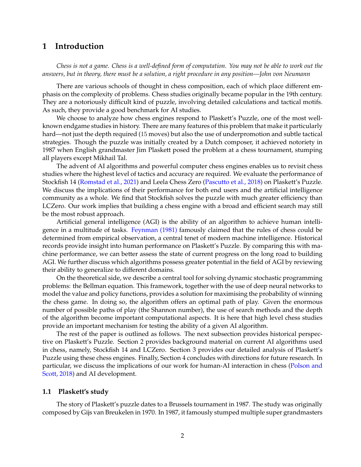## **1 Introduction**

*Chess is not a game. Chess is a well-defined form of computation. You may not be able to work out the answers, but in theory, there must be a solution, a right procedure in any position—John von Neumann*

There are various schools of thought in chess composition, each of which place different emphasis on the complexity of problems. Chess studies originally became popular in the 19th century. They are a notoriously difficult kind of puzzle, involving detailed calculations and tactical motifs. As such, they provide a good benchmark for AI studies.

We choose to analyze how chess engines respond to Plaskett's Puzzle, one of the most wellknown endgame studies in history. There are many features of this problem that make it particularly hard—not just the depth required (15 moves) but also the use of underpromotion and subtle tactical strategies. Though the puzzle was initially created by a Dutch composer, it achieved notoriety in 1987 when English grandmaster Jim Plaskett posed the problem at a chess tournament, stumping all players except Mikhail Tal.

The advent of AI algorithms and powerful computer chess engines enables us to revisit chess studies where the highest level of tactics and accuracy are required. We evaluate the performance of Stockfish 14 [\(Romstad et al., 2021\)](#page-13-0) and Leela Chess Zero [\(Pascutto et al., 2018\)](#page-13-1) on Plaskett's Puzzle. We discuss the implications of their performance for both end users and the artificial intelligence community as a whole. We find that Stockfish solves the puzzle with much greater efficiency than LCZero. Our work implies that building a chess engine with a broad and efficient search may still be the most robust approach.

Artificial general intelligence (AGI) is the ability of an algorithm to achieve human intelligence in a multitude of tasks. [Feynman \(1981\)](#page-11-0) famously claimed that the rules of chess could be determined from empirical observation, a central tenet of modern machine intelligence. Historical records provide insight into human performance on Plaskett's Puzzle. By comparing this with machine performance, we can better assess the state of current progress on the long road to building AGI. We further discuss which algorithms possess greater potential in the field of AGI by reviewing their ability to generalize to different domains.

On the theoretical side, we describe a central tool for solving dynamic stochastic programming problems: the Bellman equation. This framework, together with the use of deep neural networks to model the value and policy functions, provides a solution for maximising the probability of winning the chess game. In doing so, the algorithm offers an optimal path of play. Given the enormous number of possible paths of play (the Shannon number), the use of search methods and the depth of the algorithm become important computational aspects. It is here that high level chess studies provide an important mechanism for testing the ability of a given AI algorithm.

The rest of the paper is outlined as follows. The next subsection provides historical perspective on Plaskett's Puzzle. Section 2 provides background material on current AI algorithms used in chess, namely, Stockfish 14 and LCZero. Section 3 provides our detailed analysis of Plaskett's Puzzle using these chess engines. Finally, Section 4 concludes with directions for future research. In particular, we discuss the implications of our work for human-AI interaction in chess [\(Polson and](#page-13-2) [Scott, 2018\)](#page-13-2) and AI development.

### **1.1 Plaskett's study**

The story of Plaskett's puzzle dates to a Brussels tournament in 1987. The study was originally composed by Gijs van Breukelen in 1970. In 1987, it famously stumped multiple super grandmasters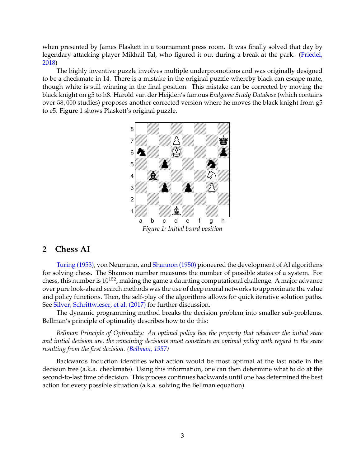when presented by James Plaskett in a tournament press room. It was finally solved that day by legendary attacking player Mikhail Tal, who figured it out during a break at the park. [\(Friedel,](#page-11-1) [2018\)](#page-11-1)

The highly inventive puzzle involves multiple underpromotions and was originally designed to be a checkmate in 14. There is a mistake in the original puzzle whereby black can escape mate, though white is still winning in the final position. This mistake can be corrected by moving the black knight on g5 to h8. Harold van der Heijden's famous *Endgame Study Database* (which contains over 58, 000 studies) proposes another corrected version where he moves the black knight from g5 to e5. Figure 1 shows Plaskett's original puzzle.



## **2 Chess AI**

[Turing \(1953\),](#page-13-3) von Neumann, and [Shannon \(1950\)](#page-13-4) pioneered the development of AI algorithms for solving chess. The Shannon number measures the number of possible states of a system. For chess, this number is  $10^{152}$ , making the game a daunting computational challenge. A major advance over pure look-ahead search methods was the use of deep neural networks to approximate the value and policy functions. Then, the self-play of the algorithms allows for quick iterative solution paths. See [Silver, Schrittwieser, et al. \(2017\)](#page-13-5) for further discussion.

The dynamic programming method breaks the decision problem into smaller sub-problems. Bellman's principle of optimality describes how to do this:

*Bellman Principle of Optimality: An optimal policy has the property that whatever the initial state and initial decision are, the remaining decisions must constitute an optimal policy with regard to the state resulting from the first decision. [\(Bellman, 1957\)](#page-11-2)*

Backwards Induction identifies what action would be most optimal at the last node in the decision tree (a.k.a. checkmate). Using this information, one can then determine what to do at the second-to-last time of decision. This process continues backwards until one has determined the best action for every possible situation (a.k.a. solving the Bellman equation).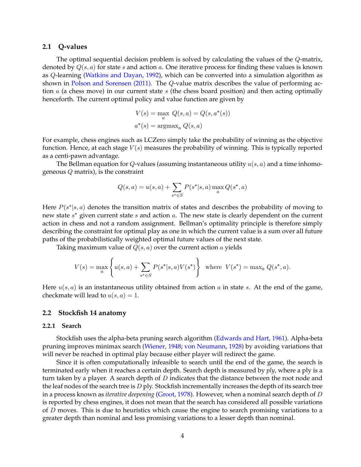#### **2.1 Q-values**

The optimal sequential decision problem is solved by calculating the values of the Q-matrix, denoted by  $Q(s, a)$  for state s and action a. One iterative process for finding these values is known as Q-learning [\(Watkins and Dayan, 1992\)](#page-14-0), which can be converted into a simulation algorithm as shown in [Polson and Sorensen \(2011\).](#page-13-6) The Q-value matrix describes the value of performing action  $a$  (a chess move) in our current state  $s$  (the chess board position) and then acting optimally henceforth. The current optimal policy and value function are given by

$$
V(s) = \max_{a} Q(s, a) = Q(s, a^*(s))
$$

$$
a^*(s) = \operatorname{argmax}_{a} Q(s, a)
$$

For example, chess engines such as LCZero simply take the probability of winning as the objective function. Hence, at each stage  $V(s)$  measures the probability of winning. This is typically reported as a centi-pawn advantage.

The Bellman equation for Q-values (assuming instantaneous utility  $u(s, a)$  and a time inhomogeneous Q matrix), is the constraint

$$
Q(s, a) = u(s, a) + \sum_{s^* \in S} P(s^*|s, a) \max_a Q(s^*, a)
$$

Here  $P(s^*|s, a)$  denotes the transition matrix of states and describes the probability of moving to new state  $s^*$  given current state  $s$  and action  $a$ . The new state is clearly dependent on the current action in chess and not a random assignment. Bellman's optimality principle is therefore simply describing the constraint for optimal play as one in which the current value is a sum over all future paths of the probabilistically weighted optimal future values of the next state.

Taking maximum value of  $Q(s, a)$  over the current action a yields

$$
V(s) = \max_{a} \left\{ u(s, a) + \sum_{s^* \in S} P(s^* | s, a) V(s^*) \right\} \text{ where } V(s^*) = \max_{a} Q(s^*, a).
$$

Here  $u(s, a)$  is an instantaneous utility obtained from action a in state s. At the end of the game, checkmate will lead to  $u(s, a) = 1$ .

#### **2.2 Stockfish 14 anatomy**

#### **2.2.1 Search**

Stockfish uses the alpha-beta pruning search algorithm [\(Edwards and Hart, 1961\)](#page-11-3). Alpha-beta pruning improves minimax search [\(Wiener, 1948;](#page-14-1) [von Neumann, 1928\)](#page-14-2) by avoiding variations that will never be reached in optimal play because either player will redirect the game.

Since it is often computationally infeasible to search until the end of the game, the search is terminated early when it reaches a certain depth. Search depth is measured by *ply*, where a ply is a turn taken by a player. A search depth of  $D$  indicates that the distance between the root node and the leaf nodes of the search tree is  $D$  ply. Stockfish incrementally increases the depth of its search tree in a process known as *iterative deepening* [\(Groot, 1978\)](#page-11-4). However, when a nominal search depth of D is reported by chess engines, it does not mean that the search has considered all possible variations of  $D$  moves. This is due to heuristics which cause the engine to search promising variations to a greater depth than nominal and less promising variations to a lesser depth than nominal.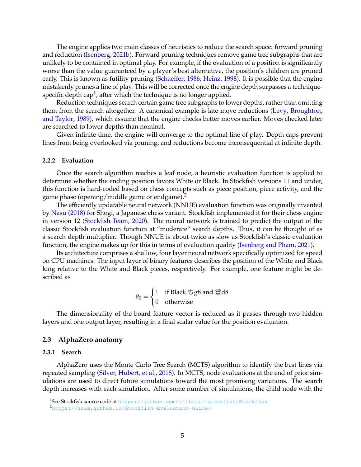The engine applies two main classes of heuristics to reduce the search space: forward pruning and reduction [\(Isenberg, 2021b\)](#page-12-0). Forward pruning techniques remove game tree subgraphs that are unlikely to be contained in optimal play. For example, if the evaluation of a position is significantly worse than the value guaranteed by a player's best alternative, the position's children are pruned early. This is known as futility pruning [\(Schaeffer, 1986;](#page-13-7) [Heinz, 1998\)](#page-12-1). It is possible that the engine mistakenly prunes a line of play. This will be corrected once the engine depth surpasses a techniquespecific depth cap $^1$  $^1$ , after which the technique is no longer applied.

Reduction techniques search certain game tree subgraphs to lower depths, rather than omitting them from the search altogether. A canonical example is late move reductions [\(Levy, Broughton,](#page-12-2) [and Taylor, 1989\)](#page-12-2), which assume that the engine checks better moves earlier. Moves checked later are searched to lower depths than nominal.

Given infinite time, the engine will converge to the optimal line of play. Depth caps prevent lines from being overlooked via pruning, and reductions become inconsequential at infinite depth.

#### **2.2.2 Evaluation**

Once the search algorithm reaches a leaf node, a heuristic evaluation function is applied to determine whether the ending position favors White or Black. In Stockfish versions 11 and under, this function is hard-coded based on chess concepts such as piece position, piece activity, and the game phase (opening/middle game or endgame).<sup>[2](#page-4-1)</sup>

The efficiently updatable neural network (NNUE) evaluation function was originally invented by [Nasu \(2018\)](#page-12-3) for Shogi, a Japanese chess variant. Stockfish implemented it for their chess engine in version 12 [\(Stockfish Team, 2020\)](#page-13-8). The neural network is trained to predict the output of the classic Stockfish evaluation function at "moderate" search depths. Thus, it can be thought of as a search depth multiplier. Though NNUE is about twice as slow as Stockfish's classic evaluation function, the engine makes up for this in terms of evaluation quality [\(Isenberg and Pham, 2021\)](#page-12-4).

Its architecture comprises a shallow, four layer neural network specifically optimized for speed on CPU machines. The input layer of binary features describes the position of the White and Black king relative to the White and Black pieces, respectively. For example, one feature might be described as

$$
\theta_0 = \begin{cases} 1 & \text{if Black } \text{`gg8 and } \text{`Wd8} \\ 0 & \text{otherwise} \end{cases}
$$

The dimensionality of the board feature vector is reduced as it passes through two hidden layers and one output layer, resulting in a final scalar value for the position evaluation.

### **2.3 AlphaZero anatomy**

#### **2.3.1 Search**

AlphaZero uses the Monte Carlo Tree Search (MCTS) algorithm to identify the best lines via repeated sampling [\(Silver, Hubert, et al., 2018\)](#page-13-9). In MCTS, node evaluations at the end of prior simulations are used to direct future simulations toward the most promising variations. The search depth increases with each simulation. After some number of simulations, the child node with the

<span id="page-4-0"></span><sup>&</sup>lt;sup>1</sup>See Stockfish source code at <https://github.com/official-stockfish/Stockfish>

<span id="page-4-1"></span><sup>2</sup><https://hxim.github.io/Stockfish-Evaluation-Guide/>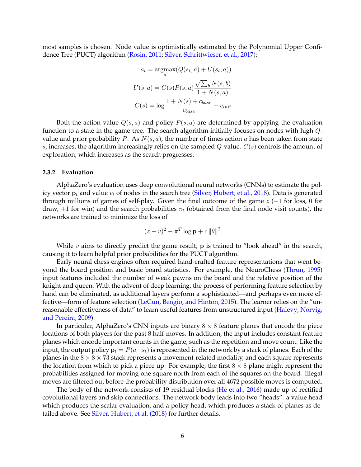most samples is chosen. Node value is optimistically estimated by the Polynomial Upper Confidence Tree (PUCT) algorithm [\(Rosin, 2011;](#page-13-10) [Silver, Schrittwieser, et al., 2017\)](#page-13-5):

$$
a_t = \underset{a}{\operatorname{argmax}} (Q(s_t, a) + U(s_t, a))
$$

$$
U(s, a) = C(s)P(s, a) \frac{\sqrt{\sum_b N(s, b)}}{1 + N(s, a)}
$$

$$
C(s) = \log \frac{1 + N(s) + c_{base}}{c_{base}} + c_{init}
$$

Both the action value  $Q(s, a)$  and policy  $P(s, a)$  are determined by applying the evaluation function to a state in the game tree. The search algorithm initially focuses on nodes with high Qvalue and prior probability P. As  $N(s, a)$ , the number of times action a has been taken from state s, increases, the algorithm increasingly relies on the sampled  $Q$ -value.  $C(s)$  controls the amount of exploration, which increases as the search progresses.

#### **2.3.2 Evaluation**

AlphaZero's evaluation uses deep convolutional neural networks (CNNs) to estimate the policy vector  $p_t$  and value  $v_t$  of nodes in the search tree [\(Silver, Hubert, et al., 2018\)](#page-13-9). Data is generated through millions of games of self-play. Given the final outcome of the game z (−1 for loss, 0 for draw, +1 for win) and the search probabilities  $\pi_t$  (obtained from the final node visit counts), the networks are trained to minimize the loss of

$$
(z-v)^2 - \pi^T \log \mathbf{p} + c \|\theta\|^2
$$

While  $v$  aims to directly predict the game result,  $p$  is trained to "look ahead" in the search, causing it to learn helpful prior probabilities for the PUCT algorithm.

Early neural chess engines often required hand-crafted feature representations that went beyond the board position and basic board statistics. For example, the NeuroChess [\(Thrun, 1995\)](#page-13-11) input features included the number of weak pawns on the board and the relative position of the knight and queen. With the advent of deep learning, the process of performing feature selection by hand can be eliminated, as additional layers perform a sophisticated—and perhaps even more effective—form of feature selection [\(LeCun, Bengio, and Hinton, 2015\)](#page-12-5). The learner relies on the "un-reasonable effectiveness of data" to learn useful features from unstructured input [\(Halevy, Norvig,](#page-11-5) [and Pereira, 2009\)](#page-11-5).

In particular, AlphaZero's CNN inputs are binary  $8 \times 8$  feature planes that encode the piece locations of both players for the past 8 half-moves. In addition, the input includes constant feature planes which encode important counts in the game, such as the repetition and move count. Like the input, the output policy  $\mathbf{p}_t = P(a \mid s_t)$  is represented in the network by a stack of planes. Each of the planes in the  $8 \times 8 \times 73$  stack represents a movement-related modality, and each square represents the location from which to pick a piece up. For example, the first  $8 \times 8$  plane might represent the probabilities assigned for moving one square north from each of the squares on the board. Illegal moves are filtered out before the probability distribution over all 4672 possible moves is computed.

The body of the network consists of 19 residual blocks [\(He et al., 2016\)](#page-12-6) made up of rectified covolutional layers and skip connections. The network body leads into two "heads": a value head which produces the scalar evaluation, and a policy head, which produces a stack of planes as detailed above. See [Silver, Hubert, et al. \(2018\)](#page-13-9) for further details.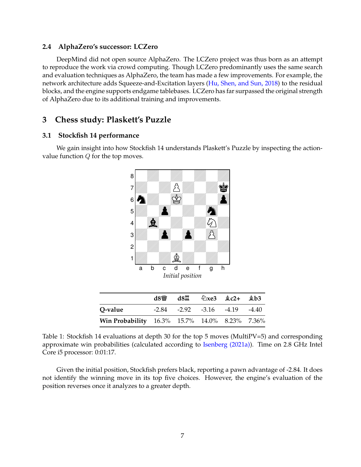## **2.4 AlphaZero's successor: LCZero**

DeepMind did not open source AlphaZero. The LCZero project was thus born as an attempt to reproduce the work via crowd computing. Though LCZero predominantly uses the same search and evaluation techniques as AlphaZero, the team has made a few improvements. For example, the network architecture adds Squeeze-and-Excitation layers [\(Hu, Shen, and Sun, 2018\)](#page-12-7) to the residual blocks, and the engine supports endgame tablebases. LCZero has far surpassed the original strength of AlphaZero due to its additional training and improvements.

## **3 Chess study: Plaskett's Puzzle**

## **3.1 Stockfish 14 performance**

We gain insight into how Stockfish 14 understands Plaskett's Puzzle by inspecting the actionvalue function  $Q$  for the top moves.



|                                               | d8幽 | d8罝 |                                         | $\&$ xe3 $\&$ c2+ $\&$ b3 |  |
|-----------------------------------------------|-----|-----|-----------------------------------------|---------------------------|--|
| O-value                                       |     |     | $-2.84$ $-2.92$ $-3.16$ $-4.19$ $-4.40$ |                           |  |
| Win Probability 16.3% 15.7% 14.0% 8.23% 7.36% |     |     |                                         |                           |  |

Table 1: Stockfish 14 evaluations at depth 30 for the top 5 moves (MultiPV=5) and corresponding approximate win probabilities (calculated according to [Isenberg \(2021a\)\)](#page-12-8). Time on 2.8 GHz Intel Core i5 processor: 0:01:17.

Given the initial position, Stockfish prefers black, reporting a pawn advantage of -2.84. It does not identify the winning move in its top five choices. However, the engine's evaluation of the position reverses once it analyzes to a greater depth.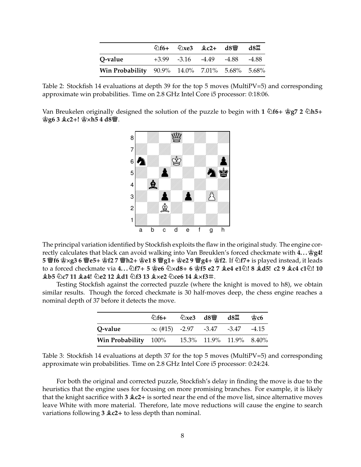|                                               |  | 公f6+ 公xe3 鱼c2+ d8彎 d8罝                  |  |
|-----------------------------------------------|--|-----------------------------------------|--|
| O-value                                       |  | $+3.99$ $-3.16$ $-4.49$ $-4.88$ $-4.88$ |  |
| Win Probability 90.9% 14.0% 7.01% 5.68% 5.68% |  |                                         |  |

Table 2: Stockfish 14 evaluations at depth 39 for the top 5 moves (MultiPV=5) and corresponding approximate win probabilities. Time on 2.8 GHz Intel Core i5 processor: 0:18:06.

Van Breukelen originally designed the solution of the puzzle to begin with **1 Nf6+ Kg7 2 Nh5+ Kg6 3 Bc2+! KXh5 4 d8Q**.



The principal variation identified by Stockfish exploits the flaw in the original study. The engine correctly calculates that black can avoid walking into Van Breuklen's forced checkmate with  $4...$   $gq4!$ 5 瞥f6 宫×g3 6 瞥e5+ 宫f2 7 瞥h2+ 宫e1 8 瞥g1+ 宫e2 9 瞥g4+ 宫f2. If Zf7+ is played instead, it leads to a forced checkmate via 4...  $\triangle f7+5$  \$206  $\triangle \times d8+6$  \$15 e2 7 \$204 e1 $\triangle$ ! 8 \$45! c2 9 \$204 c1 $\triangle$ ! 10 **Bb5 Nc7 11 Ba4! Ne2 12 Bd1 Nf3 13 BXe2 Nce6 14 BXf3m**.

Testing Stockfish against the corrected puzzle (where the knight is moved to h8), we obtain similar results. Though the forced checkmate is 30 half-moves deep, the chess engine reaches a nominal depth of 37 before it detects the move.

|                      | $6 +$                                          | $\&$ xe3 d8 $\&$ d8 $\&$ |                         | ജ് $c6$ |
|----------------------|------------------------------------------------|--------------------------|-------------------------|---------|
| Q-value              | $\infty$ (#15) $-2.97$ $-3.47$ $-3.47$ $-4.15$ |                          |                         |         |
| Win Probability 100% |                                                |                          | 15.3% 11.9% 11.9% 8.40% |         |

Table 3: Stockfish 14 evaluations at depth 37 for the top 5 moves (MultiPV=5) and corresponding approximate win probabilities. Time on 2.8 GHz Intel Core i5 processor: 0:24:24.

For both the original and corrected puzzle, Stockfish's delay in finding the move is due to the heuristics that the engine uses for focusing on more promising branches. For example, it is likely that the knight sacrifice with **3 Bc2+** is sorted near the end of the move list, since alternative moves leave White with more material. Therefore, late move reductions will cause the engine to search variations following **3 Bc2+** to less depth than nominal.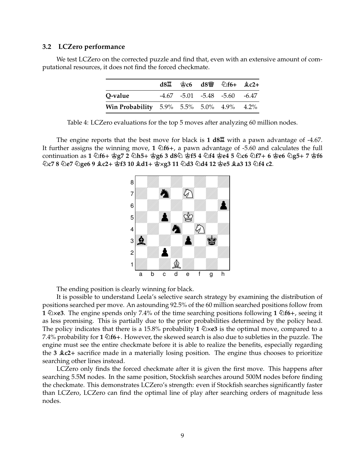### **3.2 LCZero performance**

We test LCZero on the corrected puzzle and find that, even with an extensive amount of computational resources, it does not find the forced checkmate.

|                                          |  | $d8\ddot{2}$ $\dot{2}$ $c6$ $d8\ddot{2}$ $\dot{2}$ $f6+$ $\dot{2}$ $c2+$ |  |
|------------------------------------------|--|--------------------------------------------------------------------------|--|
| O-value                                  |  | $-4.67$ $-5.01$ $-5.48$ $-5.60$ $-6.47$                                  |  |
| Win Probability 5.9% 5.5% 5.0% 4.9% 4.2% |  |                                                                          |  |

Table 4: LCZero evaluations for the top 5 moves after analyzing 60 million nodes.

The engine reports that the best move for black is **1 d8R** with a pawn advantage of -4.67. It further assigns the winning move, **1 Nf6+**, a pawn advantage of -5.60 and calculates the full continuation as 1 公f6+ 宫g7 2 公h5+ 宫g6 3 d8公 宫f5 4 公f4 宫e4 5 公c6 公f7+ 6 宫e6 公g5+ 7 宫f6  $\Diamond$ c7 8  $\Diamond$ e7  $\Diamond$ ge6 9  $\Diamond$ c2+ ඡුf3 10  $\Diamond$ d1+ ඡ $\times$ g3 11  $\Diamond$ d3  $\Diamond$ d4 12 ඡුe5  $\Diamond$ a3 13  $\Diamond$ f4 c2.



The ending position is clearly winning for black.

It is possible to understand Leela's selective search strategy by examining the distribution of positions searched per move. An astounding 92.5% of the 60 million searched positions follow from **1 NXe3**. The engine spends only 7.4% of the time searching positions following **1 Nf6+**, seeing it as less promising. This is partially due to the prior probabilities determined by the policy head. The policy indicates that there is a 15.8% probability 1  $\&\times$ **e3** is the optimal move, compared to a 7.4% probability for **1 Nf6+**. However, the skewed search is also due to subleties in the puzzle. The engine must see the entire checkmate before it is able to realize the benefits, especially regarding the **3 Bc2+** sacrifice made in a materially losing position. The engine thus chooses to prioritize searching other lines instead.

LCZero only finds the forced checkmate after it is given the first move. This happens after searching 5.5M nodes. In the same position, Stockfish searches around 500M nodes before finding the checkmate. This demonstrates LCZero's strength: even if Stockfish searches significantly faster than LCZero, LCZero can find the optimal line of play after searching orders of magnitude less nodes.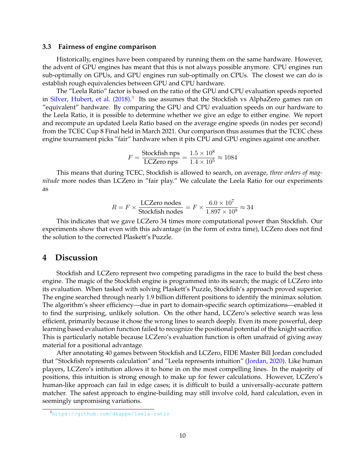#### **3.3 Fairness of engine comparison**

Historically, engines have been compared by running them on the same hardware. However, the advent of GPU engines has meant that this is not always possible anymore. CPU engines run sub-optimally on GPUs, and GPU engines run sub-optimally on CPUs. The closest we can do is establish rough equivalencies between GPU and CPU hardware.

The "Leela Ratio" factor is based on the ratio of the GPU and CPU evaluation speeds reported in [Silver, Hubert, et al. \(2018\).](#page-13-9)<sup>[3](#page-9-0)</sup> Its use assumes that the Stockfish vs AlphaZero games ran on "equivalent" hardware. By comparing the GPU and CPU evaluation speeds on our hardware to the Leela Ratio, it is possible to determine whether we give an edge to either engine. We report and recompute an updated Leela Ratio based on the average engine speeds (in nodes per second) from the TCEC Cup 8 Final held in March 2021. Our comparison thus assumes that the TCEC chess engine tournament picks "fair" hardware when it pits CPU and GPU engines against one another.

$$
F = \frac{\text{Stockfish nps}}{\text{LCEero nps}} = \frac{1.5 \times 10^8}{1.4 \times 10^5} \approx 1084
$$

This means that during TCEC, Stockfish is allowed to search, on average, *three orders of magnitude* more nodes than LCZero in "fair play." We calculate the Leela Ratio for our experiments as

$$
R = F \times \frac{\text{LCZero nodes}}{\text{Stockfish nodes}} = F \times \frac{6.0 \times 10^7}{1.897 \times 10^9} \approx 34
$$

This indicates that we gave LCZero 34 times more computational power than Stockfish. Our experiments show that even with this advantage (in the form of extra time), LCZero does not find the solution to the corrected Plaskett's Puzzle.

## **4 Discussion**

Stockfish and LCZero represent two competing paradigms in the race to build the best chess engine. The magic of the Stockfish engine is programmed into its search; the magic of LCZero into its evaluation. When tasked with solving Plaskett's Puzzle, Stockfish's approach proved superior. The engine searched through nearly 1.9 billion different positions to identify the minimax solution. The algorithm's sheer efficiency—due in part to domain-specific search optimizations—enabled it to find the surprising, unlikely solution. On the other hand, LCZero's selective search was less efficient, primarily because it chose the wrong lines to search deeply. Even its more powerful, deep learning based evaluation function failed to recognize the positional potential of the knight sacrifice. This is particularly notable because LCZero's evaluation function is often unafraid of giving away material for a positional advantage.

After annotating 40 games between Stockfish and LCZero, FIDE Master Bill Jordan concluded that "Stockfish represents calculation" and "Leela represents intuition" [\(Jordan, 2020\)](#page-12-9). Like human players, LCZero's intitution allows it to hone in on the most compelling lines. In the majority of positions, this intuition is strong enough to make up for fewer calculations. However, LCZero's human-like approach can fail in edge cases; it is difficult to build a universally-accurate pattern matcher. The safest approach to engine-building may still involve cold, hard calculation, even in seemingly unpromising variations.

<span id="page-9-0"></span><sup>3</sup><https://github.com/dkappe/leela-ratio>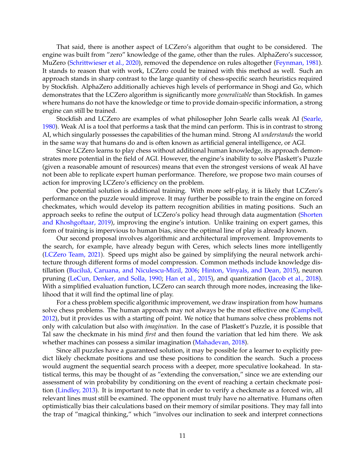That said, there is another aspect of LCZero's algorithm that ought to be considered. The engine was built from "zero" knowledge of the game, other than the rules. AlphaZero's successor, MuZero [\(Schrittwieser et al., 2020\)](#page-13-12), removed the dependence on rules altogether [\(Feynman, 1981\)](#page-11-0). It stands to reason that with work, LCZero could be trained with this method as well. Such an approach stands in sharp contrast to the large quantity of chess-specific search heuristics required by Stockfish. AlphaZero additionally achieves high levels of performance in Shogi and Go, which demonstrates that the LCZero algorithm is significantly more *generalizable* than Stockfish. In games where humans do not have the knowledge or time to provide domain-specific information, a strong engine can still be trained.

Stockfish and LCZero are examples of what philosopher John Searle calls weak AI [\(Searle,](#page-13-13) [1980\)](#page-13-13). Weak AI is a tool that performs a task that the mind can perform. This is in contrast to strong AI, which singularly possesses the capabilities of the human mind. Strong AI *understands* the world in the same way that humans do and is often known as artificial general intelligence, or AGI.

Since LCZero learns to play chess without additional human knowledge, its approach demonstrates more potential in the field of AGI. However, the engine's inability to solve Plaskett's Puzzle (given a reasonable amount of resources) means that even the strongest versions of weak AI have not been able to replicate expert human performance. Therefore, we propose two main courses of action for improving LCZero's efficiency on the problem.

One potential solution is additional training. With more self-play, it is likely that LCZero's performance on the puzzle would improve. It may further be possible to train the engine on forced checkmates, which would develop its pattern recognition abilities in mating positions. Such an approach seeks to refine the output of LCZero's policy head through data augmentation [\(Shorten](#page-13-14) [and Khoshgoftaar, 2019\)](#page-13-14), improving the engine's intution. Unlike training on expert games, this form of training is impervious to human bias, since the optimal line of play is already known.

Our second proposal involves algorithmic and architectural improvement. Improvements to the search, for example, have already begun with Ceres, which selects lines more intelligently [\(LCZero Team, 2021\)](#page-12-10). Speed ups might also be gained by simplifying the neural network architecture through different forms of model compression. Common methods include knowledge dis-tillation (Buciluă, Caruana, and Niculescu-Mizil, 2006; [Hinton, Vinyals, and Dean, 2015\)](#page-12-11), neuron pruning [\(LeCun, Denker, and Solla, 1990;](#page-12-12) [Han et al., 2015\)](#page-12-13), and quantization [\(Jacob et al., 2018\)](#page-12-14). With a simplified evaluation function, LCZero can search through more nodes, increasing the likelihood that it will find the optimal line of play.

For a chess problem specific algorithmic improvement, we draw inspiration from how humans solve chess problems. The human approach may not always be the most effective one [\(Campbell,](#page-11-7) [2012\)](#page-11-7), but it provides us with a starting off point. We notice that humans solve chess problems not only with calculation but also with *imagination*. In the case of Plaskett's Puzzle, it is possible that Tal saw the checkmate in his mind *first* and then found the variation that led him there. We ask whether machines can possess a similar imagination [\(Mahadevan, 2018\)](#page-12-15).

Since all puzzles have a guaranteed solution, it may be possible for a learner to explicitly predict likely checkmate positions and use these positions to condition the search. Such a process would augment the sequential search process with a deeper, more speculative lookahead. In statistical terms, this may be thought of as "extending the conversation," since we are extending our assessment of win probability by conditioning on the event of reaching a certain checkmate position [\(Lindley, 2013\)](#page-12-16). It is important to note that in order to verify a checkmate as a forced win, all relevant lines must still be examined. The opponent must truly have no alternative. Humans often optimistically bias their calculations based on their memory of similar positions. They may fall into the trap of "magical thinking," which "involves our inclination to seek and interpret connections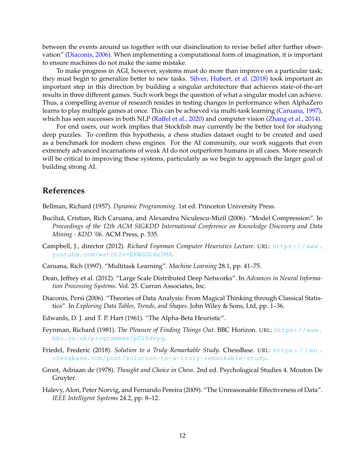between the events around us together with our disinclination to revise belief after further observation" [\(Diaconis, 2006\)](#page-11-8). When implementing a computational form of imagination, it is important to ensure machines do not make the same mistake.

To make progress in AGI, however, systems must do more than improve on a particular task; they must begin to generalize better to new tasks. [Silver, Hubert, et al. \(2018\)](#page-13-9) took important an important step in this direction by building a singular architecture that achieves state-of-the-art results in three different games. Such work begs the question of what a singular model can achieve. Thus, a compelling avenue of research resides in testing changes in performance when AlphaZero learns to play multiple games at once. This can be achieved via multi-task learning [\(Caruana, 1997\)](#page-11-9), which has seen successes in both NLP [\(Raffel et al., 2020\)](#page-13-15) and computer vision [\(Zhang et al., 2014\)](#page-14-3).

For end users, our work implies that Stockfish may currently be the better tool for studying deep puzzles. To confirm this hypothesis, a chess studies dataset ought to be created and used as a benchmark for modern chess engines. For the AI community, our work suggests that even extremely advanced incarnations of weak AI do not outperform humans in all cases. More research will be critical to improving these systems, particularly as we begin to approach the larger goal of building strong AI.

## **References**

<span id="page-11-2"></span>Bellman, Richard (1957). *Dynamic Programming*. 1st ed. Princeton University Press.

- <span id="page-11-6"></span>Buciluă, Cristian, Rich Caruana, and Alexandru Niculescu-Mizil (2006). "Model Compression". In *Proceedings of the 12th ACM SIGKDD International Conference on Knowledge Discovery and Data Mining - KDD '06*. ACM Press, p. 535.
- <span id="page-11-7"></span>Campbell, J., director (2012). *Richard Feynman Computer Heuristics Lecture*. URL: [https://www.](https://www.youtube.com/watch?v=EKWGGDXe5MA) [youtube.com/watch?v=EKWGGDXe5MA](https://www.youtube.com/watch?v=EKWGGDXe5MA).
- <span id="page-11-9"></span>Caruana, Rich (1997). "Multitask Learning". *Machine Learning* 28.1, pp. 41–75.
- Dean, Jeffrey et al. (2012). "Large Scale Distributed Deep Networks". In *Advances in Neural Information Processing Systems*. Vol. 25. Curran Associates, Inc.
- <span id="page-11-8"></span>Diaconis, Persi (2006). "Theories of Data Analysis: From Magical Thinking through Classical Statistics". In *Exploring Data Tables, Trends, and Shapes*. John Wiley & Sons, Ltd, pp. 1–36.
- <span id="page-11-3"></span>Edwards, D. J. and T. P. Hart (1961). "The Alpha-Beta Heuristic".
- <span id="page-11-0"></span>Feynman, Richard (1981). *The Pleasure of Finding Things Out*. BBC Horizon. URL: [https://www.](https://www.bbc.co.uk/programmes/p018dvyg) [bbc.co.uk/programmes/p018dvyg](https://www.bbc.co.uk/programmes/p018dvyg).
- <span id="page-11-1"></span>Friedel, Frederic (2018). *Solution to a Truly Remarkable Study*. ChessBase. URL: [https : / / en .](https://en.chessbase.com/post/solution-to-a-truly-remarkable-study) [chessbase.com/post/solution-to-a-truly-remarkable-study](https://en.chessbase.com/post/solution-to-a-truly-remarkable-study).
- <span id="page-11-4"></span>Groot, Adriaan de (1978). *Thought and Choice in Chess*. 2nd ed. Psychological Studies 4. Mouton De Gruyter.
- <span id="page-11-5"></span>Halevy, Alon, Peter Norvig, and Fernando Pereira (2009). "The Unreasonable Effectiveness of Data". *IEEE Intelligent Systems* 24.2, pp. 8–12.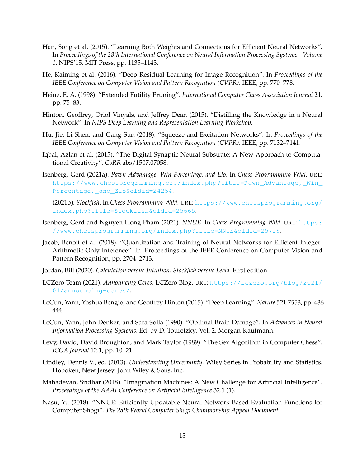- <span id="page-12-13"></span>Han, Song et al. (2015). "Learning Both Weights and Connections for Efficient Neural Networks". In *Proceedings of the 28th International Conference on Neural Information Processing Systems - Volume 1*. NIPS'15. MIT Press, pp. 1135–1143.
- <span id="page-12-6"></span>He, Kaiming et al. (2016). "Deep Residual Learning for Image Recognition". In *Proceedings of the IEEE Conference on Computer Vision and Pattern Recognition (CVPR)*. IEEE, pp. 770–778.
- <span id="page-12-1"></span>Heinz, E. A. (1998). "Extended Futility Pruning". *International Computer Chess Association Journal* 21, pp. 75–83.
- <span id="page-12-11"></span>Hinton, Geoffrey, Oriol Vinyals, and Jeffrey Dean (2015). "Distilling the Knowledge in a Neural Network". In *NIPS Deep Learning and Representation Learning Workshop*.
- <span id="page-12-7"></span>Hu, Jie, Li Shen, and Gang Sun (2018). "Squeeze-and-Excitation Networks". In *Proceedings of the IEEE Conference on Computer Vision and Pattern Recognition (CVPR)*. IEEE, pp. 7132–7141.
- Iqbal, Azlan et al. (2015). "The Digital Synaptic Neural Substrate: A New Approach to Computational Creativity". *CoRR* abs/1507.07058.
- <span id="page-12-8"></span>Isenberg, Gerd (2021a). *Pawn Advantage, Win Percentage, and Elo*. In *Chess Programming Wiki*. URL: [https://www.chessprogramming.org/index.php?title=Pawn\\_Advantage,\\_Win\\_](https://www.chessprogramming.org/index.php?title=Pawn_Advantage,_Win_Percentage,_and_Elo&oldid=24254) [Percentage,\\_and\\_Elo&oldid=24254](https://www.chessprogramming.org/index.php?title=Pawn_Advantage,_Win_Percentage,_and_Elo&oldid=24254).
- <span id="page-12-0"></span>— (2021b). *Stockfish*. In *Chess Programming Wiki*. URL: [https://www.chessprogramming.org/](https://www.chessprogramming.org/index.php?title=Stockfish&oldid=25665) [index.php?title=Stockfish&oldid=25665](https://www.chessprogramming.org/index.php?title=Stockfish&oldid=25665).
- <span id="page-12-4"></span>Isenberg, Gerd and Nguyen Hong Pham (2021). *NNUE*. In *Chess Programming Wiki*. URL: [https:](https://www.chessprogramming.org/index.php?title=NNUE&oldid=25719) [//www.chessprogramming.org/index.php?title=NNUE&oldid=25719](https://www.chessprogramming.org/index.php?title=NNUE&oldid=25719).
- <span id="page-12-14"></span>Jacob, Benoit et al. (2018). "Quantization and Training of Neural Networks for Efficient Integer-Arithmetic-Only Inference". In. Proceedings of the IEEE Conference on Computer Vision and Pattern Recognition, pp. 2704–2713.
- <span id="page-12-9"></span>Jordan, Bill (2020). *Calculation versus Intuition: Stockfish versus Leela*. First edition.
- <span id="page-12-10"></span>LCZero Team (2021). *Announcing Ceres*. LCZero Blog. URL: [https://lczero.org/blog/2021/](https://lczero.org/blog/2021/01/announcing-ceres/) [01/announcing-ceres/](https://lczero.org/blog/2021/01/announcing-ceres/).
- <span id="page-12-5"></span>LeCun, Yann, Yoshua Bengio, and Geoffrey Hinton (2015). "Deep Learning". *Nature* 521.7553, pp. 436– 444.
- <span id="page-12-12"></span>LeCun, Yann, John Denker, and Sara Solla (1990). "Optimal Brain Damage". In *Advances in Neural Information Processing Systems*. Ed. by D. Touretzky. Vol. 2. Morgan-Kaufmann.
- <span id="page-12-2"></span>Levy, David, David Broughton, and Mark Taylor (1989). "The Sex Algorithm in Computer Chess". *ICGA Journal* 12.1, pp. 10–21.
- <span id="page-12-16"></span>Lindley, Dennis V., ed. (2013). *Understanding Uncertainty*. Wiley Series in Probability and Statistics. Hoboken, New Jersey: John Wiley & Sons, Inc.
- <span id="page-12-15"></span>Mahadevan, Sridhar (2018). "Imagination Machines: A New Challenge for Artificial Intelligence". *Proceedings of the AAAI Conference on Artificial Intelligence* 32.1 (1).
- <span id="page-12-3"></span>Nasu, Yu (2018). "NNUE: Efficiently Updatable Neural-Network-Based Evaluation Functions for Computer Shogi". *The 28th World Computer Shogi Championship Appeal Document*.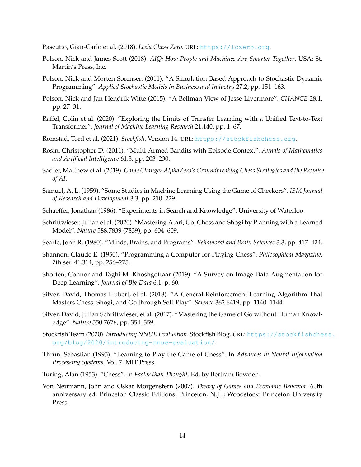<span id="page-13-1"></span>Pascutto, Gian-Carlo et al. (2018). *Leela Chess Zero*. URL: <https://lczero.org>.

- <span id="page-13-2"></span>Polson, Nick and James Scott (2018). *AIQ: How People and Machines Are Smarter Together*. USA: St. Martin's Press, Inc.
- <span id="page-13-6"></span>Polson, Nick and Morten Sorensen (2011). "A Simulation-Based Approach to Stochastic Dynamic Programming". *Applied Stochastic Models in Business and Industry* 27.2, pp. 151–163.
- Polson, Nick and Jan Hendrik Witte (2015). "A Bellman View of Jesse Livermore". *CHANCE* 28.1, pp. 27–31.
- <span id="page-13-15"></span>Raffel, Colin et al. (2020). "Exploring the Limits of Transfer Learning with a Unified Text-to-Text Transformer". *Journal of Machine Learning Research* 21.140, pp. 1–67.
- <span id="page-13-0"></span>Romstad, Tord et al. (2021). *Stockfish*. Version 14. URL: <https://stockfishchess.org>.
- <span id="page-13-10"></span>Rosin, Christopher D. (2011). "Multi-Armed Bandits with Episode Context". *Annals of Mathematics and Artificial Intelligence* 61.3, pp. 203–230.
- Sadler, Matthew et al. (2019). *Game Changer AlphaZero's Groundbreaking Chess Strategies and the Promise of AI*.
- Samuel, A. L. (1959). "Some Studies in Machine Learning Using the Game of Checkers". *IBM Journal of Research and Development* 3.3, pp. 210–229.
- <span id="page-13-7"></span>Schaeffer, Jonathan (1986). "Experiments in Search and Knowledge". University of Waterloo.
- <span id="page-13-12"></span>Schrittwieser, Julian et al. (2020). "Mastering Atari, Go, Chess and Shogi by Planning with a Learned Model". *Nature* 588.7839 (7839), pp. 604–609.
- <span id="page-13-13"></span>Searle, John R. (1980). "Minds, Brains, and Programs". *Behavioral and Brain Sciences* 3.3, pp. 417–424.
- <span id="page-13-4"></span>Shannon, Claude E. (1950). "Programming a Computer for Playing Chess". *Philosophical Magazine*. 7th ser. 41.314, pp. 256–275.
- <span id="page-13-14"></span>Shorten, Connor and Taghi M. Khoshgoftaar (2019). "A Survey on Image Data Augmentation for Deep Learning". *Journal of Big Data* 6.1, p. 60.
- <span id="page-13-9"></span>Silver, David, Thomas Hubert, et al. (2018). "A General Reinforcement Learning Algorithm That Masters Chess, Shogi, and Go through Self-Play". *Science* 362.6419, pp. 1140–1144.
- <span id="page-13-5"></span>Silver, David, Julian Schrittwieser, et al. (2017). "Mastering the Game of Go without Human Knowledge". *Nature* 550.7676, pp. 354–359.
- <span id="page-13-8"></span>Stockfish Team (2020). *Introducing NNUE Evaluation*. Stockfish Blog. URL: [https://stockfishche](https://stockfishchess.org/blog/2020/introducing-nnue-evaluation/)ss. [org/blog/2020/introducing-nnue-evaluation/](https://stockfishchess.org/blog/2020/introducing-nnue-evaluation/).
- <span id="page-13-11"></span>Thrun, Sebastian (1995). "Learning to Play the Game of Chess". In *Advances in Neural Information Processing Systems*. Vol. 7. MIT Press.
- <span id="page-13-3"></span>Turing, Alan (1953). "Chess". In *Faster than Thought*. Ed. by Bertram Bowden.
- Von Neumann, John and Oskar Morgenstern (2007). *Theory of Games and Economic Behavior*. 60th anniversary ed. Princeton Classic Editions. Princeton, N.J. ; Woodstock: Princeton University Press.